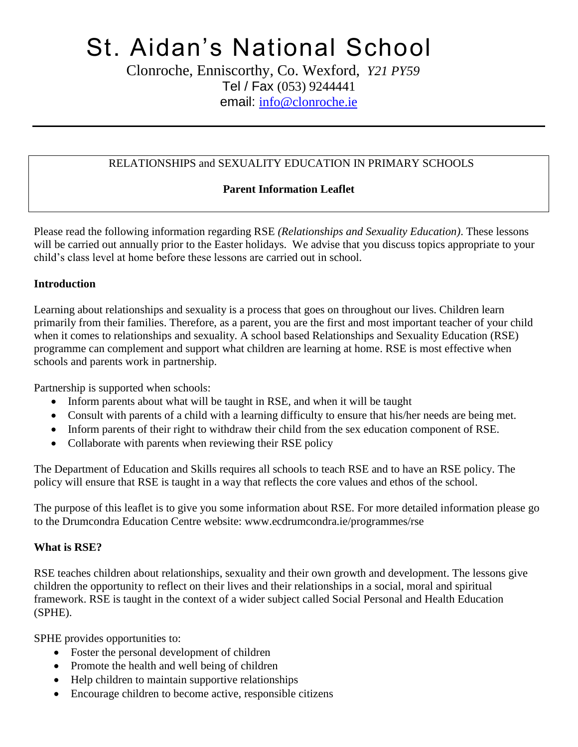# St. Aidan's National School

 Clonroche, Enniscorthy, Co. Wexford, *Y21 PY59* Tel / Fax (053) 9244441 email: [info@clonroche.ie](mailto:info@clonroche.ie)

### RELATIONSHIPS and SEXUALITY EDUCATION IN PRIMARY SCHOOLS

### **Parent Information Leaflet**

Please read the following information regarding RSE *(Relationships and Sexuality Education)*. These lessons will be carried out annually prior to the Easter holidays. We advise that you discuss topics appropriate to your child's class level at home before these lessons are carried out in school.

#### **Introduction**

Learning about relationships and sexuality is a process that goes on throughout our lives. Children learn primarily from their families. Therefore, as a parent, you are the first and most important teacher of your child when it comes to relationships and sexuality. A school based Relationships and Sexuality Education (RSE) programme can complement and support what children are learning at home. RSE is most effective when schools and parents work in partnership.

Partnership is supported when schools:

- Inform parents about what will be taught in RSE, and when it will be taught
- Consult with parents of a child with a learning difficulty to ensure that his/her needs are being met.
- Inform parents of their right to withdraw their child from the sex education component of RSE.
- Collaborate with parents when reviewing their RSE policy

The Department of Education and Skills requires all schools to teach RSE and to have an RSE policy. The policy will ensure that RSE is taught in a way that reflects the core values and ethos of the school.

The purpose of this leaflet is to give you some information about RSE. For more detailed information please go to the Drumcondra Education Centre website: www.ecdrumcondra.ie/programmes/rse

# **What is RSE?**

RSE teaches children about relationships, sexuality and their own growth and development. The lessons give children the opportunity to reflect on their lives and their relationships in a social, moral and spiritual framework. RSE is taught in the context of a wider subject called Social Personal and Health Education (SPHE).

SPHE provides opportunities to:

- Foster the personal development of children
- Promote the health and well being of children
- Help children to maintain supportive relationships
- Encourage children to become active, responsible citizens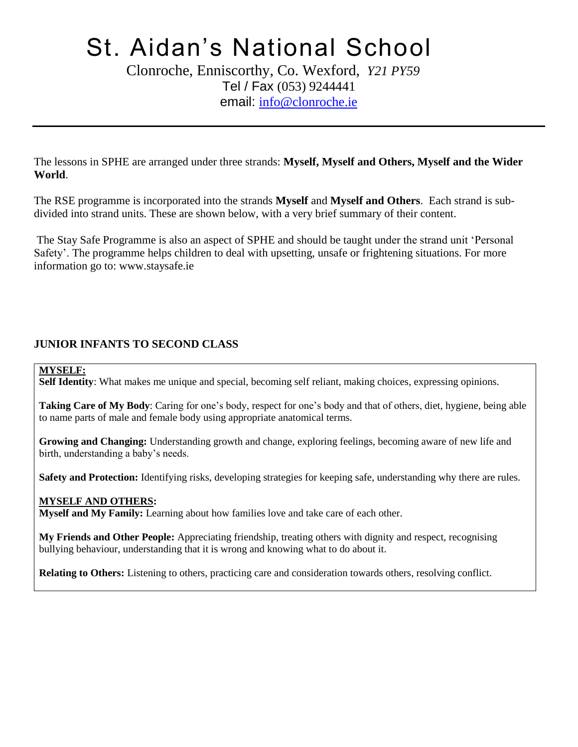# St. Aidan's National School

 Clonroche, Enniscorthy, Co. Wexford, *Y21 PY59* Tel / Fax (053) 9244441 email: [info@clonroche.ie](mailto:info@clonroche.ie)

The lessons in SPHE are arranged under three strands: **Myself, Myself and Others, Myself and the Wider World**.

The RSE programme is incorporated into the strands **Myself** and **Myself and Others**. Each strand is subdivided into strand units. These are shown below, with a very brief summary of their content.

The Stay Safe Programme is also an aspect of SPHE and should be taught under the strand unit 'Personal Safety'. The programme helps children to deal with upsetting, unsafe or frightening situations. For more information go to: www.staysafe.ie

#### **JUNIOR INFANTS TO SECOND CLASS**

#### **MYSELF:**

**Self Identity**: What makes me unique and special, becoming self reliant, making choices, expressing opinions.

**Taking Care of My Body**: Caring for one's body, respect for one's body and that of others, diet, hygiene, being able to name parts of male and female body using appropriate anatomical terms.

**Growing and Changing:** Understanding growth and change, exploring feelings, becoming aware of new life and birth, understanding a baby's needs.

**Safety and Protection:** Identifying risks, developing strategies for keeping safe, understanding why there are rules.

#### **MYSELF AND OTHERS:**

**Myself and My Family:** Learning about how families love and take care of each other.

**My Friends and Other People:** Appreciating friendship, treating others with dignity and respect, recognising bullying behaviour, understanding that it is wrong and knowing what to do about it.

**Relating to Others:** Listening to others, practicing care and consideration towards others, resolving conflict.